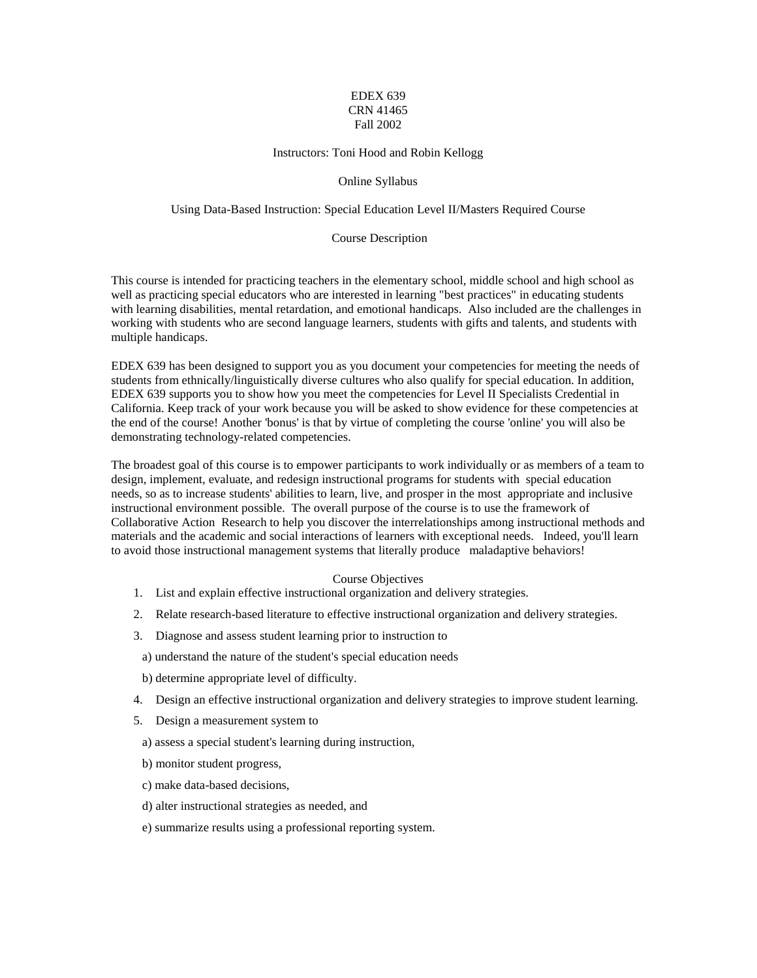# EDEX 639 CRN 41465 Fall 2002

#### Instructors: Toni Hood and Robin Kellogg

#### Online Syllabus

## Using Data-Based Instruction: Special Education Level II/Masters Required Course

#### Course Description

This course is intended for practicing teachers in the elementary school, middle school and high school as well as practicing special educators who are interested in learning "best practices" in educating students with learning disabilities, mental retardation, and emotional handicaps. Also included are the challenges in working with students who are second language learners, students with gifts and talents, and students with multiple handicaps.

EDEX 639 has been designed to support you as you document your competencies for meeting the needs of students from ethnically/linguistically diverse cultures who also qualify for special education. In addition, EDEX 639 supports you to show how you meet the competencies for Level II Specialists Credential in California. Keep track of your work because you will be asked to show evidence for these competencies at the end of the course! Another 'bonus' is that by virtue of completing the course 'online' you will also be demonstrating technology-related competencies.

The broadest goal of this course is to empower participants to work individually or as members of a team to design, implement, evaluate, and redesign instructional programs for students with special education needs, so as to increase students' abilities to learn, live, and prosper in the most appropriate and inclusive instructional environment possible. The overall purpose of the course is to use the framework of Collaborative Action Research to help you discover the interrelationships among instructional methods and materials and the academic and social interactions of learners with exceptional needs. Indeed, you'll learn to avoid those instructional management systems that literally produce maladaptive behaviors!

### Course Objectives

- 1. List and explain effective instructional organization and delivery strategies.
- 2. Relate research-based literature to effective instructional organization and delivery strategies.
- 3. Diagnose and assess student learning prior to instruction to
- a) understand the nature of the student's special education needs
- b) determine appropriate level of difficulty.
- 4. Design an effective instructional organization and delivery strategies to improve student learning.
- 5. Design a measurement system to
	- a) assess a special student's learning during instruction,
	- b) monitor student progress,
	- c) make data-based decisions,
	- d) alter instructional strategies as needed, and
	- e) summarize results using a professional reporting system.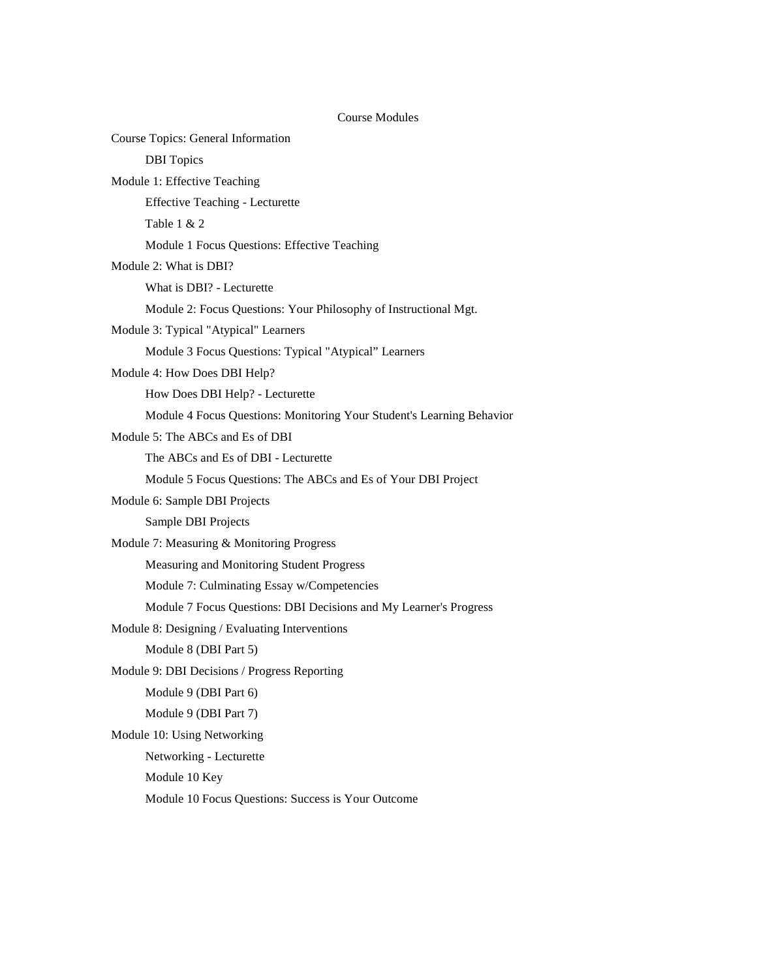# Course Modules

| <b>Course Topics: General Information</b>                             |  |
|-----------------------------------------------------------------------|--|
| <b>DBI</b> Topics                                                     |  |
| Module 1: Effective Teaching                                          |  |
| <b>Effective Teaching - Lecturette</b>                                |  |
| Table $1 & 2$                                                         |  |
| Module 1 Focus Questions: Effective Teaching                          |  |
| Module 2: What is DBI?                                                |  |
| What is DBI? - Lecturette                                             |  |
| Module 2: Focus Questions: Your Philosophy of Instructional Mgt.      |  |
| Module 3: Typical "Atypical" Learners                                 |  |
| Module 3 Focus Questions: Typical "Atypical" Learners                 |  |
| Module 4: How Does DBI Help?                                          |  |
| How Does DBI Help? - Lecturette                                       |  |
| Module 4 Focus Questions: Monitoring Your Student's Learning Behavior |  |
| Module 5: The ABCs and Es of DBI                                      |  |
| The ABCs and Es of DBI - Lecturette                                   |  |
| Module 5 Focus Questions: The ABCs and Es of Your DBI Project         |  |
| Module 6: Sample DBI Projects                                         |  |
| Sample DBI Projects                                                   |  |
| Module 7: Measuring & Monitoring Progress                             |  |
| Measuring and Monitoring Student Progress                             |  |
| Module 7: Culminating Essay w/Competencies                            |  |
| Module 7 Focus Questions: DBI Decisions and My Learner's Progress     |  |
| Module 8: Designing / Evaluating Interventions                        |  |
| Module 8 (DBI Part 5)                                                 |  |
| Module 9: DBI Decisions / Progress Reporting                          |  |
| Module 9 (DBI Part 6)                                                 |  |
| Module 9 (DBI Part 7)                                                 |  |
| Module 10: Using Networking                                           |  |
| Networking - Lecturette                                               |  |
| Module 10 Key                                                         |  |
| Module 10 Focus Questions: Success is Your Outcome                    |  |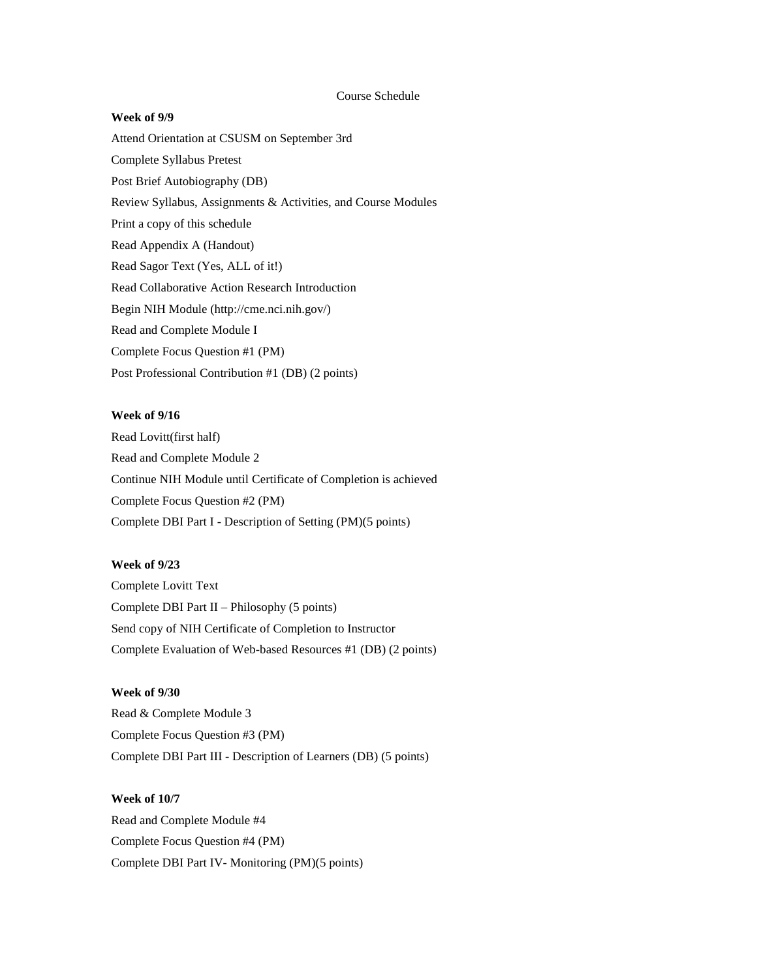## Course Schedule

#### **Week of 9/9**

Attend Orientation at CSUSM on September 3rd Complete Syllabus Pretest Post Brief Autobiography (DB) Review Syllabus, Assignments & Activities, and Course Modules Print a copy of this schedule Read Appendix A (Handout) Read Sagor Text (Yes, ALL of it!) Read Collaborative Action Research Introduction Begin NIH Module (http://cme.nci.nih.gov/) Read and Complete Module I Complete Focus Question #1 (PM) Post Professional Contribution #1 (DB) (2 points)

## **Week of 9/16**

Read Lovitt(first half) Read and Complete Module 2 Continue NIH Module until Certificate of Completion is achieved Complete Focus Question #2 (PM) Complete DBI Part I - Description of Setting (PM)(5 points)

#### **Week of 9/23**

Complete Lovitt Text Complete DBI Part II – Philosophy (5 points) Send copy of NIH Certificate of Completion to Instructor Complete Evaluation of Web-based Resources #1 (DB) (2 points)

# **Week of 9/30**

Read & Complete Module 3 Complete Focus Question #3 (PM) Complete DBI Part III - Description of Learners (DB) (5 points)

## **Week of 10/7**

Read and Complete Module #4 Complete Focus Question #4 (PM) Complete DBI Part IV- Monitoring (PM)(5 points)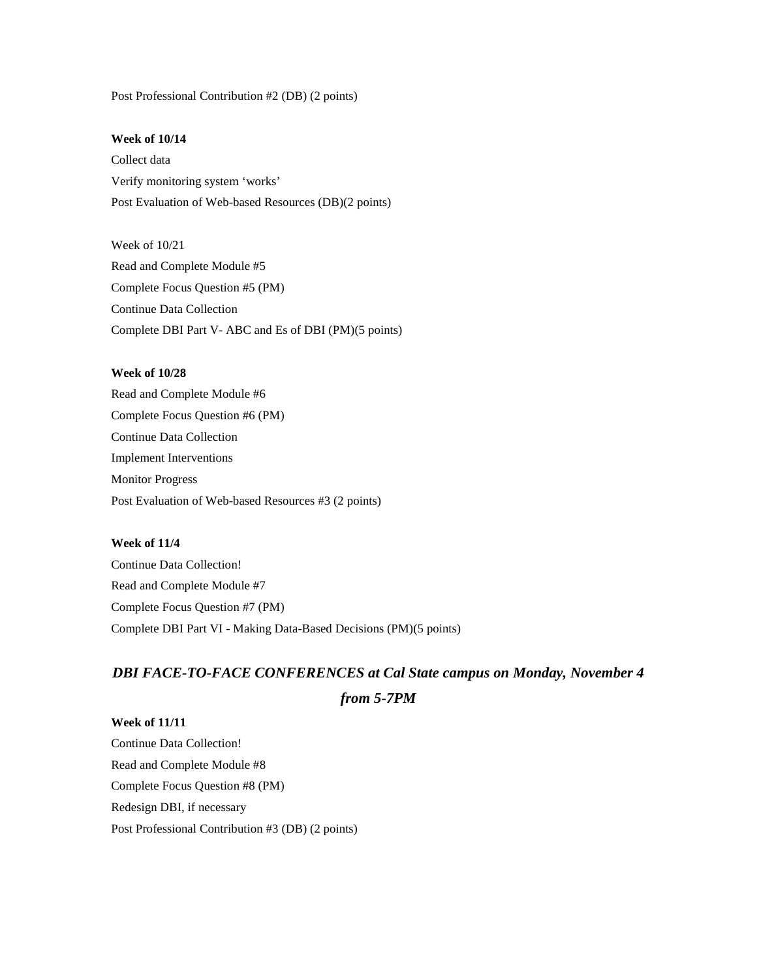Post Professional Contribution #2 (DB) (2 points)

## **Week of 10/14**

Collect data Verify monitoring system 'works' Post Evaluation of Web-based Resources (DB)(2 points)

Week of 10/21 Read and Complete Module #5 Complete Focus Question #5 (PM) Continue Data Collection Complete DBI Part V- ABC and Es of DBI (PM)(5 points)

# **Week of 10/28**

Read and Complete Module #6 Complete Focus Question #6 (PM) Continue Data Collection Implement Interventions Monitor Progress Post Evaluation of Web-based Resources #3 (2 points)

# **Week of 11/4**

Continue Data Collection! Read and Complete Module #7 Complete Focus Question #7 (PM) Complete DBI Part VI - Making Data-Based Decisions (PM)(5 points)

# *DBI FACE-TO-FACE CONFERENCES at Cal State campus on Monday, November 4*

```
from 5-7PM
```
**Week of 11/11** Continue Data Collection! Read and Complete Module #8 Complete Focus Question #8 (PM) Redesign DBI, if necessary Post Professional Contribution #3 (DB) (2 points)